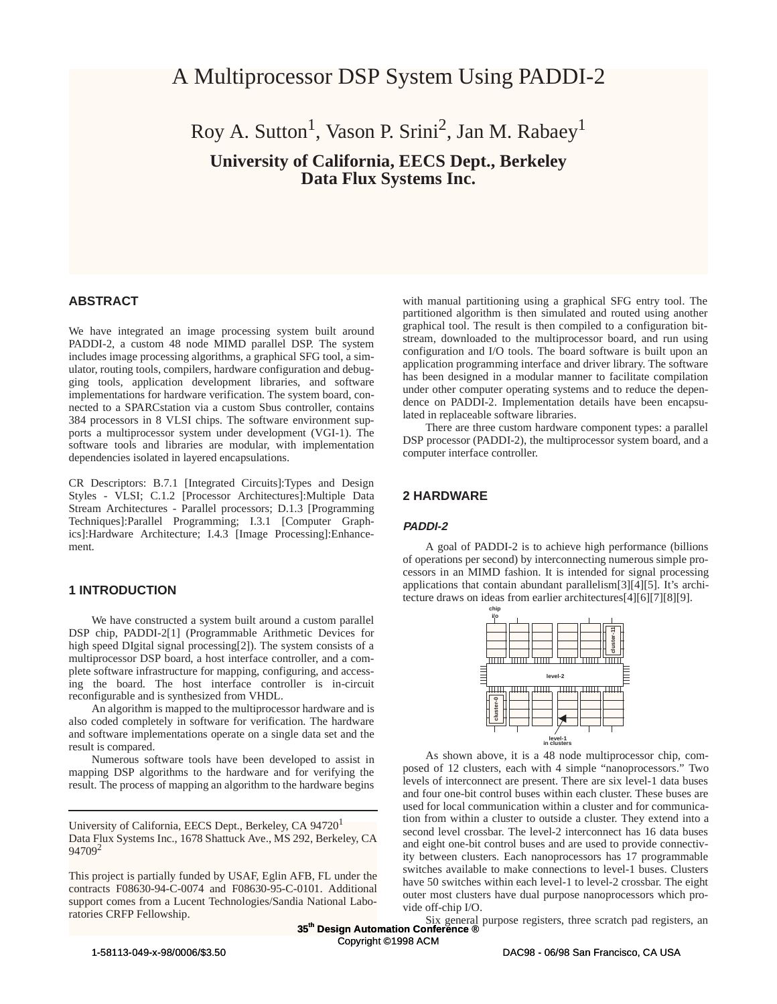# A Multiprocessor DSP System Using PADDI-2

Roy A. Sutton<sup>1</sup>, Vason P. Srini<sup>2</sup>, Jan M. Rabaey<sup>1</sup>

**University of California, EECS Dept., Berkeley Data Flux Systems Inc.**

# **ABSTRACT**

We have integrated an image processing system built around PADDI-2, a custom 48 node MIMD parallel DSP. The system includes image processing algorithms, a graphical SFG tool, a simulator, routing tools, compilers, hardware configuration and debugging tools, application development libraries, and software implementations for hardware verification. The system board, connected to a SPARCstation via a custom Sbus controller, contains 384 processors in 8 VLSI chips. The software environment supports a multiprocessor system under development (VGI-1). The software tools and libraries are modular, with implementation dependencies isolated in layered encapsulations.

CR Descriptors: B.7.1 [Integrated Circuits]:Types and Design Styles - VLSI; C.1.2 [Processor Architectures]:Multiple Data Stream Architectures - Parallel processors; D.1.3 [Programming Techniques]:Parallel Programming; I.3.1 [Computer Graphics]:Hardware Architecture; I.4.3 [Image Processing]:Enhancement.

# **1 INTRODUCTION**

We have constructed a system built around a custom parallel DSP chip, PADDI-2[1] (Programmable Arithmetic Devices for high speed DIgital signal processing[2]). The system consists of a multiprocessor DSP board, a host interface controller, and a complete software infrastructure for mapping, configuring, and accessing the board. The host interface controller is in-circuit reconfigurable and is synthesized from VHDL.

An algorithm is mapped to the multiprocessor hardware and is also coded completely in software for verification. The hardware and software implementations operate on a single data set and the result is compared.

Numerous software tools have been developed to assist in mapping DSP algorithms to the hardware and for verifying the result. The process of mapping an algorithm to the hardware begins

University of California, EECS Dept., Berkeley, CA 94720<sup>1</sup> Data Flux Systems Inc., 1678 Shattuck Ave., MS 292, Berkeley, CA 94709<sup>2</sup>

This project is partially funded by USAF, Eglin AFB, FL under the contracts F08630-94-C-0074 and F08630-95-C-0101. Additional support comes from a Lucent Technologies/Sandia National Laboratories CRFP Fellowship.

with manual partitioning using a graphical SFG entry tool. The partitioned algorithm is then simulated and routed using another graphical tool. The result is then compiled to a configuration bitstream, downloaded to the multiprocessor board, and run using configuration and I/O tools. The board software is built upon an application programming interface and driver library. The software has been designed in a modular manner to facilitate compilation under other computer operating systems and to reduce the dependence on PADDI-2. Implementation details have been encapsulated in replaceable software libraries.

There are three custom hardware component types: a parallel DSP processor (PADDI-2), the multiprocessor system board, and a computer interface controller.

## **2 HARDWARE**

#### **PADDI-2**

A goal of PADDI-2 is to achieve high performance (billions of operations per second) by interconnecting numerous simple processors in an MIMD fashion. It is intended for signal processing applications that contain abundant parallelism[3][4][5]. It's architecture draws on ideas from earlier architectures[4][6][7][8][9].



As shown above, it is a 48 node multiprocessor chip, composed of 12 clusters, each with 4 simple "nanoprocessors." Two levels of interconnect are present. There are six level-1 data buses and four one-bit control buses within each cluster. These buses are used for local communication within a cluster and for communication from within a cluster to outside a cluster. They extend into a second level crossbar. The level-2 interconnect has 16 data buses and eight one-bit control buses and are used to provide connectivity between clusters. Each nanoprocessors has 17 programmable switches available to make connections to level-1 buses. Clusters have 50 switches within each level-1 to level-2 crossbar. The eight outer most clusters have dual purpose nanoprocessors which provide off-chip I/O.

Six general purpose registers, three scratch pad registers, an<br>**35<sup>th</sup> Design Automation Conference** ®

Copyright ©1998 ACM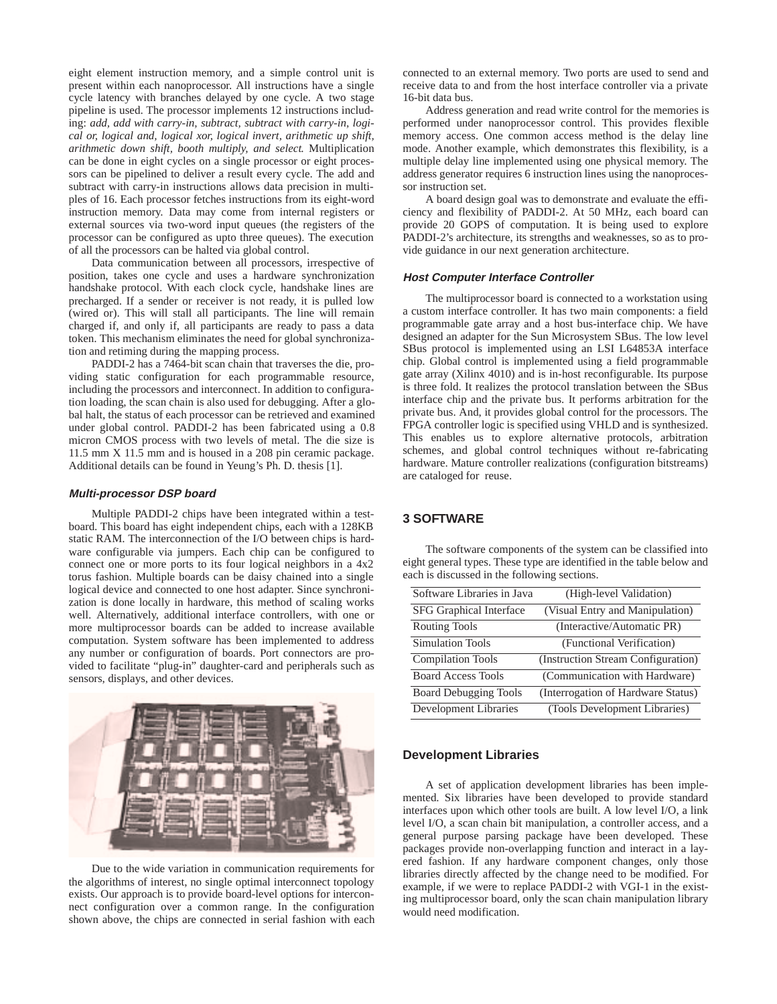eight element instruction memory, and a simple control unit is present within each nanoprocessor. All instructions have a single cycle latency with branches delayed by one cycle. A two stage pipeline is used. The processor implements 12 instructions including: *add, add with carry-in, subtract, subtract with carry-in, logical or, logical and, logical xor, logical invert, arithmetic up shift, arithmetic down shift, booth multiply, and select*. Multiplication can be done in eight cycles on a single processor or eight processors can be pipelined to deliver a result every cycle. The add and subtract with carry-in instructions allows data precision in multiples of 16. Each processor fetches instructions from its eight-word instruction memory. Data may come from internal registers or external sources via two-word input queues (the registers of the processor can be configured as upto three queues). The execution of all the processors can be halted via global control.

Data communication between all processors, irrespective of position, takes one cycle and uses a hardware synchronization handshake protocol. With each clock cycle, handshake lines are precharged. If a sender or receiver is not ready, it is pulled low (wired or). This will stall all participants. The line will remain charged if, and only if, all participants are ready to pass a data token. This mechanism eliminates the need for global synchronization and retiming during the mapping process.

PADDI-2 has a 7464-bit scan chain that traverses the die, providing static configuration for each programmable resource, including the processors and interconnect. In addition to configuration loading, the scan chain is also used for debugging. After a global halt, the status of each processor can be retrieved and examined under global control. PADDI-2 has been fabricated using a 0.8 micron CMOS process with two levels of metal. The die size is 11.5 mm X 11.5 mm and is housed in a 208 pin ceramic package. Additional details can be found in Yeung's Ph. D. thesis [1].

#### **Multi-processor DSP board**

Multiple PADDI-2 chips have been integrated within a testboard. This board has eight independent chips, each with a 128KB static RAM. The interconnection of the I/O between chips is hardware configurable via jumpers. Each chip can be configured to connect one or more ports to its four logical neighbors in a 4x2 torus fashion. Multiple boards can be daisy chained into a single logical device and connected to one host adapter. Since synchronization is done locally in hardware, this method of scaling works well. Alternatively, additional interface controllers, with one or more multiprocessor boards can be added to increase available computation. System software has been implemented to address any number or configuration of boards. Port connectors are provided to facilitate "plug-in" daughter-card and peripherals such as sensors, displays, and other devices.



Due to the wide variation in communication requirements for the algorithms of interest, no single optimal interconnect topology exists. Our approach is to provide board-level options for interconnect configuration over a common range. In the configuration shown above, the chips are connected in serial fashion with each

connected to an external memory. Two ports are used to send and receive data to and from the host interface controller via a private 16-bit data bus.

Address generation and read write control for the memories is performed under nanoprocessor control. This provides flexible memory access. One common access method is the delay line mode. Another example, which demonstrates this flexibility, is a multiple delay line implemented using one physical memory. The address generator requires 6 instruction lines using the nanoprocessor instruction set.

A board design goal was to demonstrate and evaluate the efficiency and flexibility of PADDI-2. At 50 MHz, each board can provide 20 GOPS of computation. It is being used to explore PADDI-2's architecture, its strengths and weaknesses, so as to provide guidance in our next generation architecture.

#### **Host Computer Interface Controller**

The multiprocessor board is connected to a workstation using a custom interface controller. It has two main components: a field programmable gate array and a host bus-interface chip. We have designed an adapter for the Sun Microsystem SBus. The low level SBus protocol is implemented using an LSI L64853A interface chip. Global control is implemented using a field programmable gate array (Xilinx 4010) and is in-host reconfigurable. Its purpose is three fold. It realizes the protocol translation between the SBus interface chip and the private bus. It performs arbitration for the private bus. And, it provides global control for the processors. The FPGA controller logic is specified using VHLD and is synthesized. This enables us to explore alternative protocols, arbitration schemes, and global control techniques without re-fabricating hardware. Mature controller realizations (configuration bitstreams) are cataloged for reuse.

# **3 SOFTWARE**

The software components of the system can be classified into eight general types. These type are identified in the table below and each is discussed in the following sections.

| Software Libraries in Java   | (High-level Validation)            |
|------------------------------|------------------------------------|
| SFG Graphical Interface      | (Visual Entry and Manipulation)    |
| <b>Routing Tools</b>         | (Interactive/Automatic PR)         |
| <b>Simulation Tools</b>      | (Functional Verification)          |
| <b>Compilation Tools</b>     | (Instruction Stream Configuration) |
| <b>Board Access Tools</b>    | (Communication with Hardware)      |
| <b>Board Debugging Tools</b> | (Interrogation of Hardware Status) |
| Development Libraries        | (Tools Development Libraries)      |

## **Development Libraries**

A set of application development libraries has been implemented. Six libraries have been developed to provide standard interfaces upon which other tools are built. A low level I/O, a link level I/O, a scan chain bit manipulation, a controller access, and a general purpose parsing package have been developed. These packages provide non-overlapping function and interact in a layered fashion. If any hardware component changes, only those libraries directly affected by the change need to be modified. For example, if we were to replace PADDI-2 with VGI-1 in the existing multiprocessor board, only the scan chain manipulation library would need modification.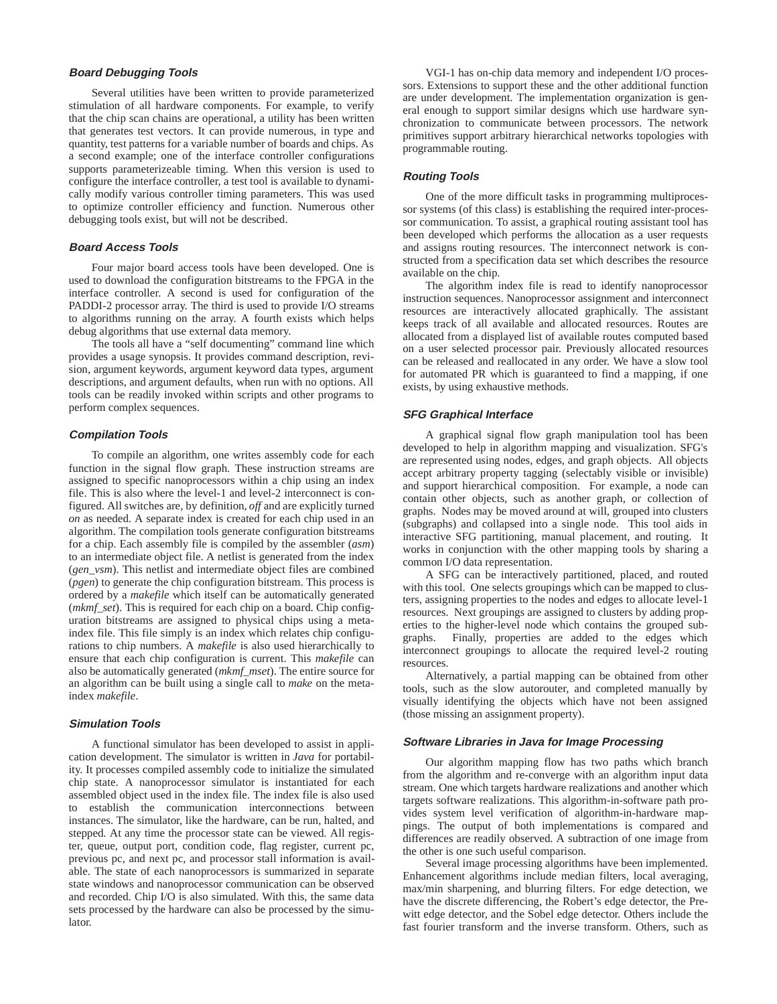# **Board Debugging Tools**

Several utilities have been written to provide parameterized stimulation of all hardware components. For example, to verify that the chip scan chains are operational, a utility has been written that generates test vectors. It can provide numerous, in type and quantity, test patterns for a variable number of boards and chips. As a second example; one of the interface controller configurations supports parameterizeable timing. When this version is used to configure the interface controller, a test tool is available to dynamically modify various controller timing parameters. This was used to optimize controller efficiency and function. Numerous other debugging tools exist, but will not be described.

#### **Board Access Tools**

Four major board access tools have been developed. One is used to download the configuration bitstreams to the FPGA in the interface controller. A second is used for configuration of the PADDI-2 processor array. The third is used to provide I/O streams to algorithms running on the array. A fourth exists which helps debug algorithms that use external data memory.

The tools all have a "self documenting" command line which provides a usage synopsis. It provides command description, revision, argument keywords, argument keyword data types, argument descriptions, and argument defaults, when run with no options. All tools can be readily invoked within scripts and other programs to perform complex sequences.

#### **Compilation Tools**

To compile an algorithm, one writes assembly code for each function in the signal flow graph. These instruction streams are assigned to specific nanoprocessors within a chip using an index file. This is also where the level-1 and level-2 interconnect is configured. All switches are, by definition, *off* and are explicitly turned *on* as needed. A separate index is created for each chip used in an algorithm. The compilation tools generate configuration bitstreams for a chip. Each assembly file is compiled by the assembler (*asm*) to an intermediate object file. A netlist is generated from the index (*gen\_vsm*). This netlist and intermediate object files are combined (*pgen*) to generate the chip configuration bitstream. This process is ordered by a *makefile* which itself can be automatically generated (*mkmf\_set*). This is required for each chip on a board. Chip configuration bitstreams are assigned to physical chips using a metaindex file. This file simply is an index which relates chip configurations to chip numbers. A *makefile* is also used hierarchically to ensure that each chip configuration is current. This *makefile* can also be automatically generated (*mkmf\_mset*). The entire source for an algorithm can be built using a single call to *make* on the metaindex *makefile*.

### **Simulation Tools**

A functional simulator has been developed to assist in application development. The simulator is written in *Java* for portability. It processes compiled assembly code to initialize the simulated chip state. A nanoprocessor simulator is instantiated for each assembled object used in the index file. The index file is also used to establish the communication interconnections between instances. The simulator, like the hardware, can be run, halted, and stepped. At any time the processor state can be viewed. All register, queue, output port, condition code, flag register, current pc, previous pc, and next pc, and processor stall information is available. The state of each nanoprocessors is summarized in separate state windows and nanoprocessor communication can be observed and recorded. Chip I/O is also simulated. With this, the same data sets processed by the hardware can also be processed by the simulator.

VGI-1 has on-chip data memory and independent I/O processors. Extensions to support these and the other additional function are under development. The implementation organization is general enough to support similar designs which use hardware synchronization to communicate between processors. The network primitives support arbitrary hierarchical networks topologies with programmable routing.

## **Routing Tools**

One of the more difficult tasks in programming multiprocessor systems (of this class) is establishing the required inter-processor communication. To assist, a graphical routing assistant tool has been developed which performs the allocation as a user requests and assigns routing resources. The interconnect network is constructed from a specification data set which describes the resource available on the chip.

The algorithm index file is read to identify nanoprocessor instruction sequences. Nanoprocessor assignment and interconnect resources are interactively allocated graphically. The assistant keeps track of all available and allocated resources. Routes are allocated from a displayed list of available routes computed based on a user selected processor pair. Previously allocated resources can be released and reallocated in any order. We have a slow tool for automated PR which is guaranteed to find a mapping, if one exists, by using exhaustive methods.

## **SFG Graphical Interface**

A graphical signal flow graph manipulation tool has been developed to help in algorithm mapping and visualization. SFG's are represented using nodes, edges, and graph objects. All objects accept arbitrary property tagging (selectably visible or invisible) and support hierarchical composition. For example, a node can contain other objects, such as another graph, or collection of graphs. Nodes may be moved around at will, grouped into clusters (subgraphs) and collapsed into a single node. This tool aids in interactive SFG partitioning, manual placement, and routing. It works in conjunction with the other mapping tools by sharing a common I/O data representation.

A SFG can be interactively partitioned, placed, and routed with this tool. One selects groupings which can be mapped to clusters, assigning properties to the nodes and edges to allocate level-1 resources. Next groupings are assigned to clusters by adding properties to the higher-level node which contains the grouped subgraphs. Finally, properties are added to the edges which interconnect groupings to allocate the required level-2 routing resources.

Alternatively, a partial mapping can be obtained from other tools, such as the slow autorouter, and completed manually by visually identifying the objects which have not been assigned (those missing an assignment property).

## **Software Libraries in Java for Image Processing**

Our algorithm mapping flow has two paths which branch from the algorithm and re-converge with an algorithm input data stream. One which targets hardware realizations and another which targets software realizations. This algorithm-in-software path provides system level verification of algorithm-in-hardware mappings. The output of both implementations is compared and differences are readily observed. A subtraction of one image from the other is one such useful comparison.

Several image processing algorithms have been implemented. Enhancement algorithms include median filters, local averaging, max/min sharpening, and blurring filters. For edge detection, we have the discrete differencing, the Robert's edge detector, the Prewitt edge detector, and the Sobel edge detector. Others include the fast fourier transform and the inverse transform. Others, such as